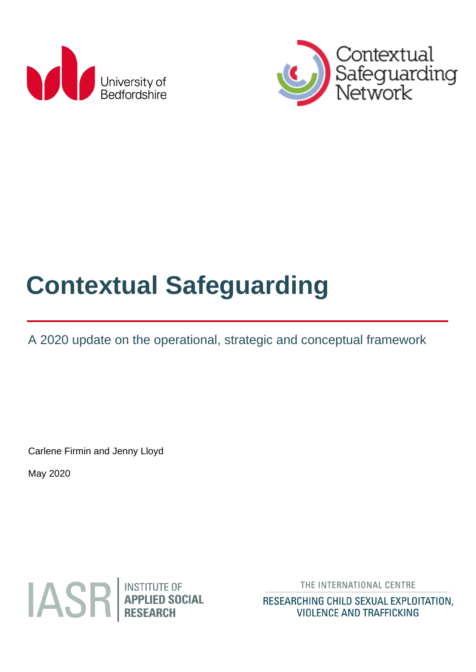



# **Contextual Safeguarding**

A 2020 update on the operational, strategic and conceptual framework

Carlene Firmin and Jenny Lloyd

May 2020



THE INTERNATIONAL CENTRE

RESEARCHING CHILD SEXUAL EXPLOITATION, **VIOLENCE AND TRAFFICKING**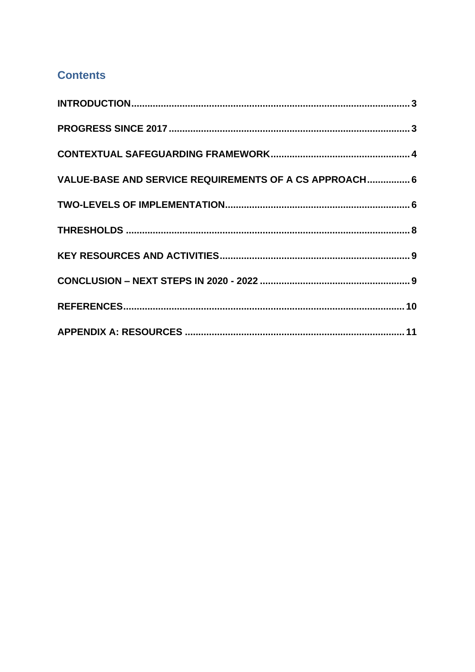### **Contents**

| VALUE-BASE AND SERVICE REQUIREMENTS OF A CS APPROACH 6 |  |
|--------------------------------------------------------|--|
|                                                        |  |
|                                                        |  |
|                                                        |  |
|                                                        |  |
|                                                        |  |
|                                                        |  |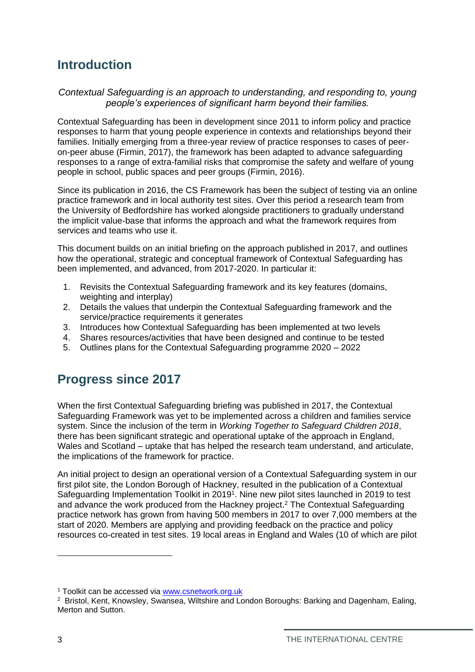## <span id="page-2-0"></span>**Introduction**

#### *Contextual Safeguarding is an approach to understanding, and responding to, young people's experiences of significant harm beyond their families.*

Contextual Safeguarding has been in development since 2011 to inform policy and practice responses to harm that young people experience in contexts and relationships beyond their families. Initially emerging from a three-year review of practice responses to cases of peeron-peer abuse (Firmin, 2017), the framework has been adapted to advance safeguarding responses to a range of extra-familial risks that compromise the safety and welfare of young people in school, public spaces and peer groups (Firmin, 2016).

Since its publication in 2016, the CS Framework has been the subject of testing via an online practice framework and in local authority test sites. Over this period a research team from the University of Bedfordshire has worked alongside practitioners to gradually understand the implicit value-base that informs the approach and what the framework requires from services and teams who use it.

This document builds on an initial briefing on the approach published in 2017, and outlines how the operational, strategic and conceptual framework of Contextual Safeguarding has been implemented, and advanced, from 2017-2020. In particular it:

- 1. Revisits the Contextual Safeguarding framework and its key features (domains, weighting and interplay)
- 2. Details the values that underpin the Contextual Safeguarding framework and the service/practice requirements it generates
- 3. Introduces how Contextual Safeguarding has been implemented at two levels
- 4. Shares resources/activities that have been designed and continue to be tested
- 5. Outlines plans for the Contextual Safeguarding programme 2020 2022

## <span id="page-2-1"></span>**Progress since 2017**

When the first Contextual Safeguarding briefing was published in 2017, the Contextual Safeguarding Framework was yet to be implemented across a children and families service system. Since the inclusion of the term in *Working Together to Safeguard Children 2018*, there has been significant strategic and operational uptake of the approach in England, Wales and Scotland – uptake that has helped the research team understand, and articulate, the implications of the framework for practice.

An initial project to design an operational version of a Contextual Safeguarding system in our first pilot site, the London Borough of Hackney, resulted in the publication of a Contextual Safeguarding Implementation Toolkit in 2019<sup>1</sup>. Nine new pilot sites launched in 2019 to test and advance the work produced from the Hackney project.<sup>2</sup> The Contextual Safeguarding practice network has grown from having 500 members in 2017 to over 7,000 members at the start of 2020. Members are applying and providing feedback on the practice and policy resources co-created in test sites. 19 local areas in England and Wales (10 of which are pilot

<sup>1</sup> Toolkit can be accessed via [www.csnetwork.org.uk](http://www.csnetwork.org.uk/)

<sup>2</sup> Bristol, Kent, Knowsley, Swansea, Wiltshire and London Boroughs: Barking and Dagenham, Ealing, Merton and Sutton.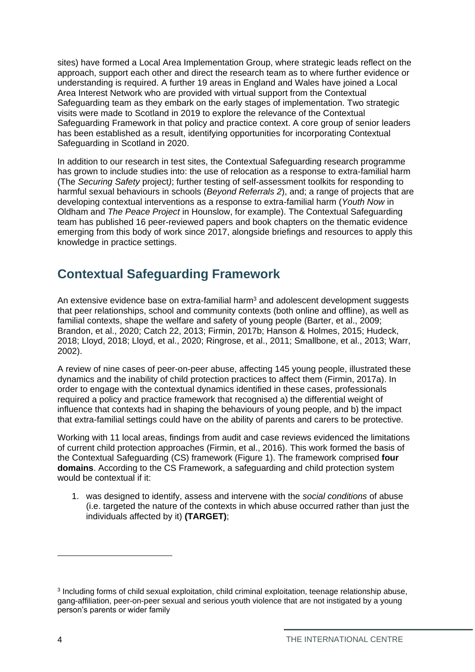sites) have formed a Local Area Implementation Group, where strategic leads reflect on the approach, support each other and direct the research team as to where further evidence or understanding is required. A further 19 areas in England and Wales have joined a Local Area Interest Network who are provided with virtual support from the Contextual Safeguarding team as they embark on the early stages of implementation. Two strategic visits were made to Scotland in 2019 to explore the relevance of the Contextual Safeguarding Framework in that policy and practice context. A core group of senior leaders has been established as a result, identifying opportunities for incorporating Contextual Safeguarding in Scotland in 2020.

In addition to our research in test sites, the Contextual Safeguarding research programme has grown to include studies into: the use of relocation as a response to extra-familial harm (The *Securing Safety* project*)*; further testing of self-assessment toolkits for responding to harmful sexual behaviours in schools (*Beyond Referrals 2*), and; a range of projects that are developing contextual interventions as a response to extra-familial harm (*Youth Now* in Oldham and *The Peace Project* in Hounslow, for example). The Contextual Safeguarding team has published 16 peer-reviewed papers and book chapters on the thematic evidence emerging from this body of work since 2017, alongside briefings and resources to apply this knowledge in practice settings.

## <span id="page-3-0"></span>**Contextual Safeguarding Framework**

An extensive evidence base on extra-familial harm<sup>3</sup> and adolescent development suggests that peer relationships, school and community contexts (both online and offline), as well as familial contexts, shape the welfare and safety of young people (Barter, et al., 2009; Brandon, et al., 2020; Catch 22, 2013; Firmin, 2017b; Hanson & Holmes, 2015; Hudeck, 2018; Lloyd, 2018; Lloyd, et al., 2020; Ringrose, et al., 2011; Smallbone, et al., 2013; Warr, 2002).

A review of nine cases of peer-on-peer abuse, affecting 145 young people, illustrated these dynamics and the inability of child protection practices to affect them (Firmin, 2017a). In order to engage with the contextual dynamics identified in these cases, professionals required a policy and practice framework that recognised a) the differential weight of influence that contexts had in shaping the behaviours of young people, and b) the impact that extra-familial settings could have on the ability of parents and carers to be protective.

Working with 11 local areas, findings from audit and case reviews evidenced the limitations of current child protection approaches (Firmin, et al., 2016). This work formed the basis of the Contextual Safeguarding (CS) framework (Figure 1). The framework comprised **four domains**. According to the CS Framework, a safeguarding and child protection system would be contextual if it:

1. was designed to identify, assess and intervene with the *social conditions* of abuse (i.e. targeted the nature of the contexts in which abuse occurred rather than just the individuals affected by it) **(TARGET)**;

<sup>&</sup>lt;sup>3</sup> Including forms of child sexual exploitation, child criminal exploitation, teenage relationship abuse, gang-affiliation, peer-on-peer sexual and serious youth violence that are not instigated by a young person's parents or wider family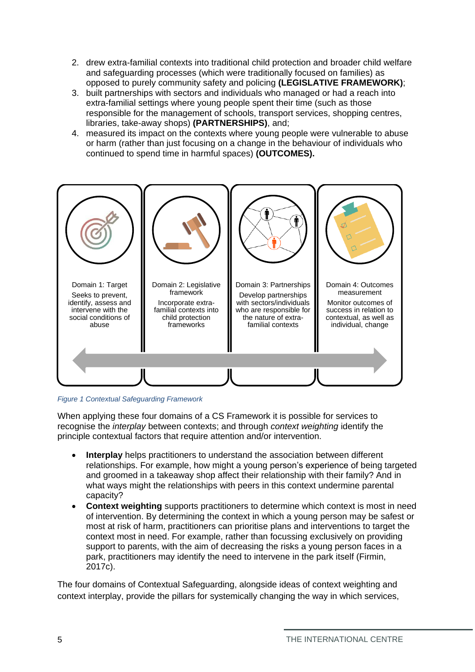- 2. drew extra-familial contexts into traditional child protection and broader child welfare and safeguarding processes (which were traditionally focused on families) as opposed to purely community safety and policing **(LEGISLATIVE FRAMEWORK)**;
- 3. built partnerships with sectors and individuals who managed or had a reach into extra-familial settings where young people spent their time (such as those responsible for the management of schools, transport services, shopping centres, libraries, take-away shops) **(PARTNERSHIPS)**, and;
- 4. measured its impact on the contexts where young people were vulnerable to abuse or harm (rather than just focusing on a change in the behaviour of individuals who continued to spend time in harmful spaces) **(OUTCOMES).**



*Figure 1 Contextual Safeguarding Framework*

When applying these four domains of a CS Framework it is possible for services to recognise the *interplay* between contexts; and through *context weighting* identify the principle contextual factors that require attention and/or intervention.

- **Interplay** helps practitioners to understand the association between different relationships. For example, how might a young person's experience of being targeted and groomed in a takeaway shop affect their relationship with their family? And in what ways might the relationships with peers in this context undermine parental capacity?
- **Context weighting** supports practitioners to determine which context is most in need of intervention. By determining the context in which a young person may be safest or most at risk of harm, practitioners can prioritise plans and interventions to target the context most in need. For example, rather than focussing exclusively on providing support to parents, with the aim of decreasing the risks a young person faces in a park, practitioners may identify the need to intervene in the park itself (Firmin, 2017c).

The four domains of Contextual Safeguarding, alongside ideas of context weighting and context interplay, provide the pillars for systemically changing the way in which services,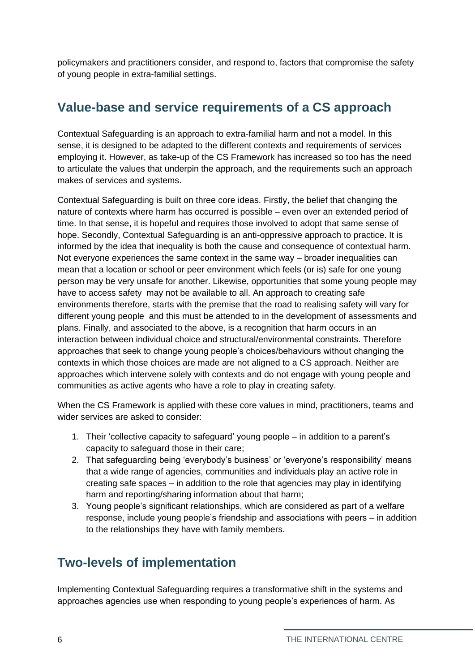policymakers and practitioners consider, and respond to, factors that compromise the safety of young people in extra-familial settings.

# <span id="page-5-0"></span>**Value-base and service requirements of a CS approach**

Contextual Safeguarding is an approach to extra-familial harm and not a model. In this sense, it is designed to be adapted to the different contexts and requirements of services employing it. However, as take-up of the CS Framework has increased so too has the need to articulate the values that underpin the approach, and the requirements such an approach makes of services and systems.

Contextual Safeguarding is built on three core ideas. Firstly, the belief that changing the nature of contexts where harm has occurred is possible – even over an extended period of time. In that sense, it is hopeful and requires those involved to adopt that same sense of hope. Secondly, Contextual Safeguarding is an anti-oppressive approach to practice. It is informed by the idea that inequality is both the cause and consequence of contextual harm. Not everyone experiences the same context in the same way – broader inequalities can mean that a location or school or peer environment which feels (or is) safe for one young person may be very unsafe for another. Likewise, opportunities that some young people may have to access safety may not be available to all. An approach to creating safe environments therefore, starts with the premise that the road to realising safety will vary for different young people and this must be attended to in the development of assessments and plans. Finally, and associated to the above, is a recognition that harm occurs in an interaction between individual choice and structural/environmental constraints. Therefore approaches that seek to change young people's choices/behaviours without changing the contexts in which those choices are made are not aligned to a CS approach. Neither are approaches which intervene solely with contexts and do not engage with young people and communities as active agents who have a role to play in creating safety.

When the CS Framework is applied with these core values in mind, practitioners, teams and wider services are asked to consider:

- 1. Their 'collective capacity to safeguard' young people in addition to a parent's capacity to safeguard those in their care;
- 2. That safeguarding being 'everybody's business' or 'everyone's responsibility' means that a wide range of agencies, communities and individuals play an active role in creating safe spaces – in addition to the role that agencies may play in identifying harm and reporting/sharing information about that harm;
- 3. Young people's significant relationships, which are considered as part of a welfare response, include young people's friendship and associations with peers – in addition to the relationships they have with family members.

# <span id="page-5-1"></span>**Two-levels of implementation**

Implementing Contextual Safeguarding requires a transformative shift in the systems and approaches agencies use when responding to young people's experiences of harm. As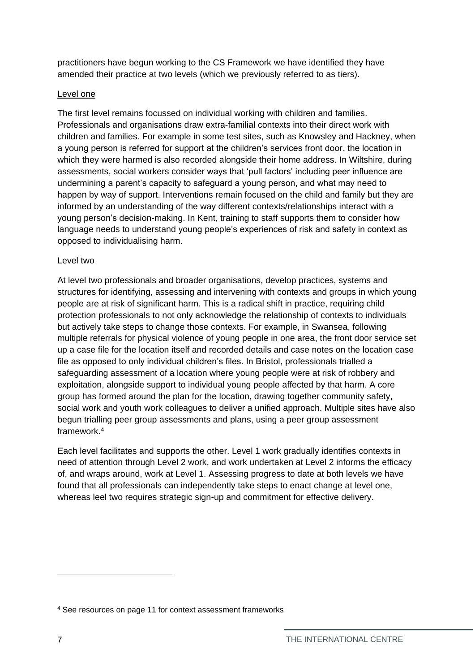practitioners have begun working to the CS Framework we have identified they have amended their practice at two levels (which we previously referred to as tiers).

#### Level one

The first level remains focussed on individual working with children and families. Professionals and organisations draw extra-familial contexts into their direct work with children and families. For example in some test sites, such as Knowsley and Hackney, when a young person is referred for support at the children's services front door, the location in which they were harmed is also recorded alongside their home address. In Wiltshire, during assessments, social workers consider ways that 'pull factors' including peer influence are undermining a parent's capacity to safeguard a young person, and what may need to happen by way of support. Interventions remain focused on the child and family but they are informed by an understanding of the way different contexts/relationships interact with a young person's decision-making. In Kent, training to staff supports them to consider how language needs to understand young people's experiences of risk and safety in context as opposed to individualising harm.

#### Level two

At level two professionals and broader organisations, develop practices, systems and structures for identifying, assessing and intervening with contexts and groups in which young people are at risk of significant harm. This is a radical shift in practice, requiring child protection professionals to not only acknowledge the relationship of contexts to individuals but actively take steps to change those contexts. For example, in Swansea, following multiple referrals for physical violence of young people in one area, the front door service set up a case file for the location itself and recorded details and case notes on the location case file as opposed to only individual children's files. In Bristol, professionals trialled a safeguarding assessment of a location where young people were at risk of robbery and exploitation, alongside support to individual young people affected by that harm. A core group has formed around the plan for the location, drawing together community safety, social work and youth work colleagues to deliver a unified approach. Multiple sites have also begun trialling peer group assessments and plans, using a peer group assessment framework.<sup>4</sup>

Each level facilitates and supports the other. Level 1 work gradually identifies contexts in need of attention through Level 2 work, and work undertaken at Level 2 informs the efficacy of, and wraps around, work at Level 1. Assessing progress to date at both levels we have found that all professionals can independently take steps to enact change at level one, whereas leel two requires strategic sign-up and commitment for effective delivery.

<sup>4</sup> See resources on page 11 for context assessment frameworks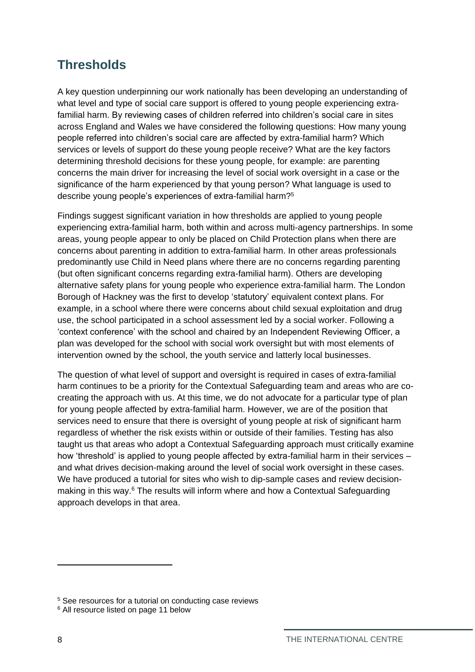## <span id="page-7-0"></span>**Thresholds**

A key question underpinning our work nationally has been developing an understanding of what level and type of social care support is offered to young people experiencing extrafamilial harm. By reviewing cases of children referred into children's social care in sites across England and Wales we have considered the following questions: How many young people referred into children's social care are affected by extra-familial harm? Which services or levels of support do these young people receive? What are the key factors determining threshold decisions for these young people, for example: are parenting concerns the main driver for increasing the level of social work oversight in a case or the significance of the harm experienced by that young person? What language is used to describe young people's experiences of extra-familial harm?<sup>5</sup>

Findings suggest significant variation in how thresholds are applied to young people experiencing extra-familial harm, both within and across multi-agency partnerships. In some areas, young people appear to only be placed on Child Protection plans when there are concerns about parenting in addition to extra-familial harm. In other areas professionals predominantly use Child in Need plans where there are no concerns regarding parenting (but often significant concerns regarding extra-familial harm). Others are developing alternative safety plans for young people who experience extra-familial harm. The London Borough of Hackney was the first to develop 'statutory' equivalent context plans. For example, in a school where there were concerns about child sexual exploitation and drug use, the school participated in a school assessment led by a social worker. Following a 'context conference' with the school and chaired by an Independent Reviewing Officer, a plan was developed for the school with social work oversight but with most elements of intervention owned by the school, the youth service and latterly local businesses.

The question of what level of support and oversight is required in cases of extra-familial harm continues to be a priority for the Contextual Safeguarding team and areas who are cocreating the approach with us. At this time, we do not advocate for a particular type of plan for young people affected by extra-familial harm. However, we are of the position that services need to ensure that there is oversight of young people at risk of significant harm regardless of whether the risk exists within or outside of their families. Testing has also taught us that areas who adopt a Contextual Safeguarding approach must critically examine how 'threshold' is applied to young people affected by extra-familial harm in their services – and what drives decision-making around the level of social work oversight in these cases. We have produced a tutorial for sites who wish to dip-sample cases and review decisionmaking in this way.<sup>6</sup> The results will inform where and how a Contextual Safeguarding approach develops in that area.

<sup>&</sup>lt;sup>5</sup> See resources for a tutorial on conducting case reviews

<sup>6</sup> All resource listed on page 11 below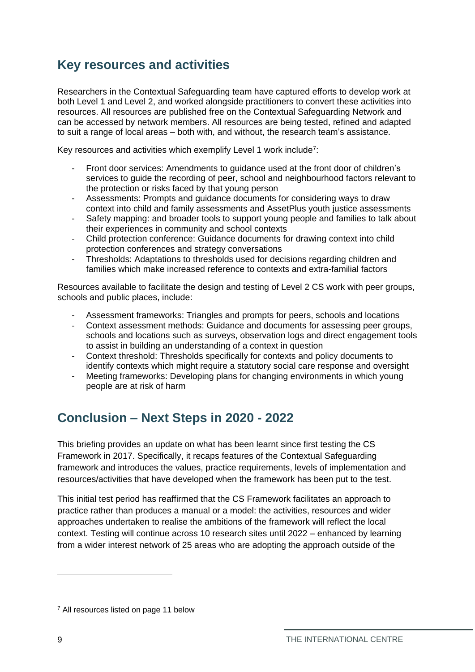# <span id="page-8-0"></span>**Key resources and activities**

Researchers in the Contextual Safeguarding team have captured efforts to develop work at both Level 1 and Level 2, and worked alongside practitioners to convert these activities into resources. All resources are published free on the Contextual Safeguarding Network and can be accessed by network members. All resources are being tested, refined and adapted to suit a range of local areas – both with, and without, the research team's assistance.

Key resources and activities which exemplify Level 1 work include<sup>7</sup>:

- Front door services: Amendments to guidance used at the front door of children's services to guide the recording of peer, school and neighbourhood factors relevant to the protection or risks faced by that young person
- Assessments: Prompts and guidance documents for considering ways to draw context into child and family assessments and AssetPlus youth justice assessments
- Safety mapping: and broader tools to support young people and families to talk about their experiences in community and school contexts
- Child protection conference: Guidance documents for drawing context into child protection conferences and strategy conversations
- Thresholds: Adaptations to thresholds used for decisions regarding children and families which make increased reference to contexts and extra-familial factors

Resources available to facilitate the design and testing of Level 2 CS work with peer groups, schools and public places, include:

- Assessment frameworks: Triangles and prompts for peers, schools and locations
- Context assessment methods: Guidance and documents for assessing peer groups, schools and locations such as surveys, observation logs and direct engagement tools to assist in building an understanding of a context in question
- Context threshold: Thresholds specifically for contexts and policy documents to identify contexts which might require a statutory social care response and oversight
- Meeting frameworks: Developing plans for changing environments in which young people are at risk of harm

## <span id="page-8-1"></span>**Conclusion – Next Steps in 2020 - 2022**

This briefing provides an update on what has been learnt since first testing the CS Framework in 2017. Specifically, it recaps features of the Contextual Safeguarding framework and introduces the values, practice requirements, levels of implementation and resources/activities that have developed when the framework has been put to the test.

This initial test period has reaffirmed that the CS Framework facilitates an approach to practice rather than produces a manual or a model: the activities, resources and wider approaches undertaken to realise the ambitions of the framework will reflect the local context. Testing will continue across 10 research sites until 2022 – enhanced by learning from a wider interest network of 25 areas who are adopting the approach outside of the

<sup>7</sup> All resources listed on page 11 below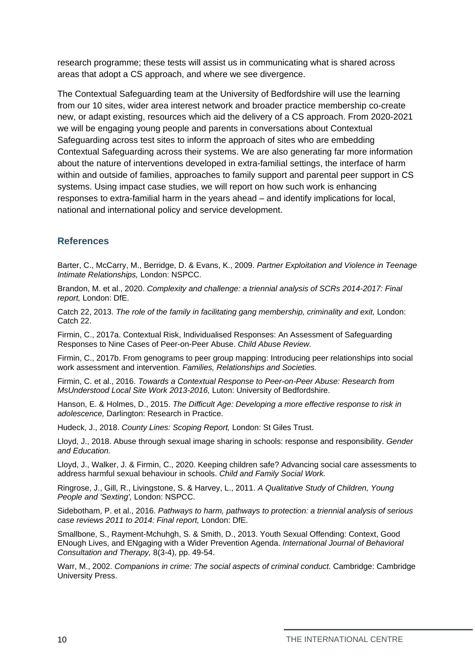research programme; these tests will assist us in communicating what is shared across areas that adopt a CS approach, and where we see divergence.

The Contextual Safeguarding team at the University of Bedfordshire will use the learning from our 10 sites, wider area interest network and broader practice membership co-create new, or adapt existing, resources which aid the delivery of a CS approach. From 2020-2021 we will be engaging young people and parents in conversations about Contextual Safeguarding across test sites to inform the approach of sites who are embedding Contextual Safeguarding across their systems. We are also generating far more information about the nature of interventions developed in extra-familial settings, the interface of harm within and outside of families, approaches to family support and parental peer support in CS systems. Using impact case studies, we will report on how such work is enhancing responses to extra-familial harm in the years ahead – and identify implications for local, national and international policy and service development.

#### <span id="page-9-0"></span>**References**

Barter, C., McCarry, M., Berridge, D. & Evans, K., 2009. *Partner Exploitation and Violence in Teenage Intimate Relationships,* London: NSPCC.

Brandon, M. et al., 2020. *Complexity and challenge: a triennial analysis of SCRs 2014-2017: Final report,* London: DfE.

Catch 22, 2013. *The role of the family in facilitating gang membership, criminality and exit, London:* Catch 22.

Firmin, C., 2017a. Contextual Risk, Individualised Responses: An Assessment of Safeguarding Responses to Nine Cases of Peer-on-Peer Abuse. *Child Abuse Review.*

Firmin, C., 2017b. From genograms to peer group mapping: Introducing peer relationships into social work assessment and intervention. *Families, Relationships and Societies.*

Firmin, C. et al., 2016. *Towards a Contextual Response to Peer-on-Peer Abuse: Research from MsUnderstood Local Site Work 2013-2016,* Luton: University of Bedfordshire.

Hanson, E. & Holmes, D., 2015. *The Difficult Age: Developing a more effective response to risk in adolescence,* Darlington: Research in Practice.

Hudeck, J., 2018. *County Lines: Scoping Report,* London: St Giles Trust.

Lloyd, J., 2018. Abuse through sexual image sharing in schools: response and responsibility. *Gender and Education.*

Lloyd, J., Walker, J. & Firmin, C., 2020. Keeping children safe? Advancing social care assessments to address harmful sexual behaviour in schools. *Child and Family Social Work.*

Ringrose, J., Gill, R., Livingstone, S. & Harvey, L., 2011. *A Qualitative Study of Children, Young People and 'Sexting',* London: NSPCC.

Sidebotham, P. et al., 2016. *Pathways to harm, pathways to protection: a triennial analysis of serious case reviews 2011 to 2014: Final report,* London: DfE.

Smallbone, S., Rayment-Mchuhgh, S. & Smith, D., 2013. Youth Sexual Offending: Context, Good ENough Lives, and ENgaging with a Wider Prevention Agenda. *International Journal of Behavioral Consultation and Therapy,* 8(3-4), pp. 49-54.

Warr, M., 2002. *Companions in crime: The social aspects of criminal conduct.* Cambridge: Cambridge University Press.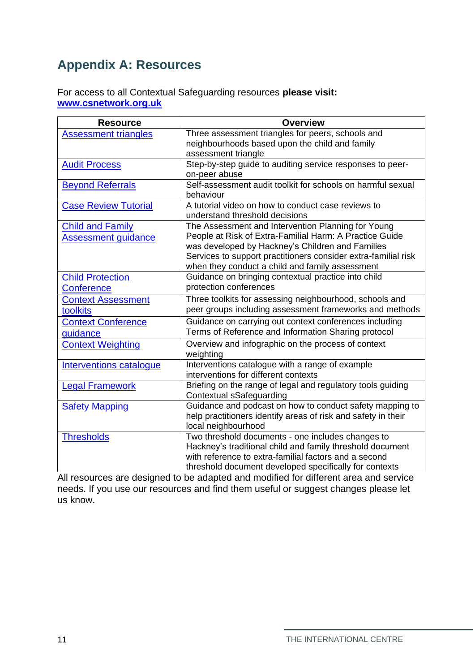# <span id="page-10-0"></span>**Appendix A: Resources**

For access to all Contextual Safeguarding resources **please visit: [www.csnetwork.org.uk](http://www.csnetwork.org.uk/)**

| <b>Resource</b>             | <b>Overview</b>                                                                                                    |
|-----------------------------|--------------------------------------------------------------------------------------------------------------------|
| <b>Assessment triangles</b> | Three assessment triangles for peers, schools and                                                                  |
|                             | neighbourhoods based upon the child and family                                                                     |
|                             | assessment triangle                                                                                                |
| <b>Audit Process</b>        | Step-by-step guide to auditing service responses to peer-                                                          |
|                             | on-peer abuse                                                                                                      |
| <b>Beyond Referrals</b>     | Self-assessment audit toolkit for schools on harmful sexual<br>behaviour                                           |
| <b>Case Review Tutorial</b> | A tutorial video on how to conduct case reviews to<br>understand threshold decisions                               |
| <b>Child and Family</b>     | The Assessment and Intervention Planning for Young                                                                 |
| <b>Assessment guidance</b>  | People at Risk of Extra-Familial Harm: A Practice Guide                                                            |
|                             | was developed by Hackney's Children and Families                                                                   |
|                             | Services to support practitioners consider extra-familial risk                                                     |
|                             | when they conduct a child and family assessment                                                                    |
| <b>Child Protection</b>     | Guidance on bringing contextual practice into child                                                                |
| <b>Conference</b>           | protection conferences                                                                                             |
| <b>Context Assessment</b>   | Three toolkits for assessing neighbourhood, schools and                                                            |
| toolkits                    | peer groups including assessment frameworks and methods                                                            |
| <b>Context Conference</b>   | Guidance on carrying out context conferences including                                                             |
| guidance                    | Terms of Reference and Information Sharing protocol                                                                |
| <b>Context Weighting</b>    | Overview and infographic on the process of context                                                                 |
|                             | weighting                                                                                                          |
| Interventions catalogue     | Interventions catalogue with a range of example                                                                    |
|                             | interventions for different contexts                                                                               |
| <b>Legal Framework</b>      | Briefing on the range of legal and regulatory tools guiding                                                        |
|                             | Contextual sSafeguarding                                                                                           |
| <b>Safety Mapping</b>       | Guidance and podcast on how to conduct safety mapping to                                                           |
|                             | help practitioners identify areas of risk and safety in their                                                      |
|                             | local neighbourhood                                                                                                |
| <b>Thresholds</b>           | Two threshold documents - one includes changes to                                                                  |
|                             | Hackney's traditional child and family threshold document<br>with reference to extra-familial factors and a second |
|                             |                                                                                                                    |
|                             | threshold document developed specifically for contexts                                                             |

All resources are designed to be adapted and modified for different area and service needs. If you use our resources and find them useful or suggest changes please let us know.